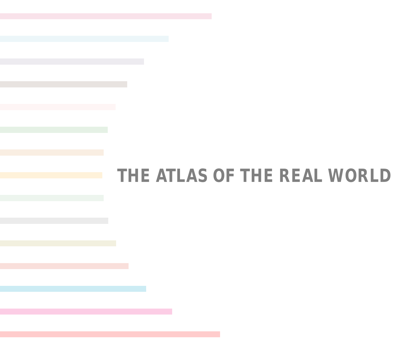## **THE ATLAS OF THE REAL WORLD**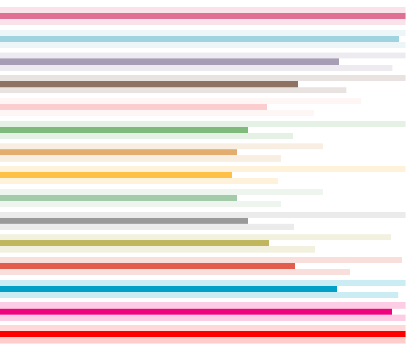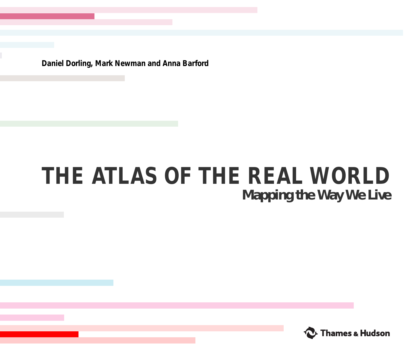**Daniel Dorling, Mark Newman and Anna Barford**

## **THE ATLAS OF THE REAL WORLD** *Mapping the Way We Live*

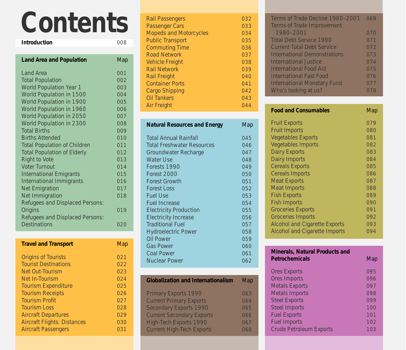# Contents

| Introduction                        | 008 |
|-------------------------------------|-----|
|                                     |     |
| <b>Land Area and Population</b>     | Map |
| I and Area                          | 001 |
| <b>Total Population</b>             | 002 |
| World Population Year 1             | 003 |
| World Population in 1500            | 004 |
| World Population in 1900            | 005 |
| World Population in 1960            | 006 |
| World Population in 2050            | 007 |
| World Population in 2300            | 008 |
| <b>Total Births</b>                 | 009 |
| <b>Rirths Attended</b>              | 010 |
| <b>Total Population of Children</b> | 011 |
| <b>Total Population of Elderly</b>  | 012 |
| <b>Right to Vote</b>                | 013 |
| <b>Voter Turnout</b>                | 014 |
| <b>International Emigrants</b>      | 015 |
| <b>International Immigrants</b>     | 016 |
| <b>Net Emigration</b>               | 017 |
| Net Immigration                     | 018 |
| Refugees and Displaced Persons:     |     |
| Origins                             | 019 |
| Refugees and Displaced Persons:     |     |
| <b>Destinations</b>                 | 020 |

| <b>Travel and Transport</b>        | Map |
|------------------------------------|-----|
| <b>Origins of Tourists</b>         | 021 |
| <b>Tourist Destinations</b>        | 022 |
| <b>Net Out-Tourism</b>             | 023 |
| Net In-Tourism                     | 024 |
| <b>Tourism Expenditure</b>         | 025 |
| <b>Tourism Receipts</b>            | 026 |
| <b>Tourism Profit</b>              | 027 |
| <b>Tourism Loss</b>                | 028 |
| <b>Aircraft Departures</b>         | 029 |
| <b>Aircraft Flights: Distances</b> | 030 |
| <b>Aircraft Passengers</b>         | 031 |
|                                    |     |

| <b>Rail Passengers</b>        | 032 |
|-------------------------------|-----|
| <b>Passenger Cars</b>         | 033 |
| <b>Mopeds and Motorcycles</b> | 034 |
| <b>Public Transport</b>       | 035 |
| <b>Commuting Time</b>         | 036 |
| <b>Road Network</b>           | 037 |
| <b>Vehicle Freight</b>        | 038 |
| <b>Rail Network</b>           | 039 |
| <b>Rail Freight</b>           | 040 |
| <b>Container Ports</b>        | 041 |
| <b>Cargo Shipping</b>         | 042 |
| <b>Oil Tankers</b>            | 043 |
| <b>Air Freight</b>            | 044 |
|                               |     |

| <b>Natural Resources and Energy</b> | Map |
|-------------------------------------|-----|
| <b>Total Annual Rainfall</b>        | 045 |
| <b>Total Freshwater Resources</b>   | 046 |
| Groundwater Recharge                | 047 |
| Water Lise                          | 048 |
| Forests 1990                        | 049 |
| <b>Forest 2000</b>                  | 050 |
| <b>Forest Growth</b>                | 051 |
| Forest Loss                         | 052 |
| <b>Fuel Use</b>                     | 053 |
| <b>Fuel Increase</b>                | 054 |
| <b>Electricity Production</b>       | 055 |
| <b>Electricity Increase</b>         | 056 |
| <b>Traditional Fuel</b>             | 057 |
| <b>Hydroelectric Power</b>          | 058 |
| Oil Power                           | 059 |
| <b>Gas Power</b>                    | 060 |
| <b>Coal Power</b>                   | 061 |
| Nuclear Power                       | 062 |

| Map |
|-----|
| 063 |
| 064 |
| 065 |
| 066 |
| 067 |
| 068 |
|     |

| Terms of Trade Decline 1980-2001    | 069 |
|-------------------------------------|-----|
| <b>Terms of Trade Improvement</b>   |     |
| 1980-2001                           | 070 |
| <b>Total Debt Service 1990</b>      | 071 |
| <b>Current Total Debt Service</b>   | 072 |
| <b>International Demonstrations</b> | 073 |
| <b>International Justice</b>        | 074 |
| <b>International Food Aid</b>       | 075 |
| <b>International Fast Food</b>      | 076 |
| <b>International Monetary Fund</b>  | 077 |
| Who's looking at us?                | 078 |

| <b>Food and Consumables</b>          | Map |
|--------------------------------------|-----|
| <b>Fruit Exports</b>                 | 079 |
| <b>Fruit Imports</b>                 | 080 |
| <b>Vegetables Exports</b>            | 081 |
| <b>Vegetables Imports</b>            | 082 |
| <b>Dairy Exports</b>                 | 083 |
| <b>Dairy Imports</b>                 | 084 |
| <b>Cereals Exports</b>               | 085 |
| <b>Cereals Imports</b>               | 086 |
| <b>Meat Exports</b>                  | 087 |
| <b>Meat Imports</b>                  | 088 |
| <b>Fish Exports</b>                  | 089 |
| <b>Fish Imports</b>                  | 090 |
| <b>Groceries Exports</b>             | 091 |
| <b>Groceries Imports</b>             | 092 |
| <b>Alcohol and Cigarette Exports</b> | 093 |
| <b>Alcohol and Cigarette Imports</b> | 094 |

| <b>Minerals, Natural Products and</b><br>Petrochemicals | Map |
|---------------------------------------------------------|-----|
| <b>Ores Exports</b>                                     | 095 |
| <b>Ores Imports</b>                                     | 096 |
| <b>Metals Exports</b>                                   | 097 |
| <b>Metals Imports</b>                                   | 098 |
| <b>Steel Exports</b>                                    | 099 |
| <b>Steel Imports</b>                                    | 100 |
| <b>Fuel Exports</b>                                     | 101 |
| <b>Fuel Imports</b>                                     | 102 |
| <b>Crude Petroleum Exports</b>                          | 103 |
|                                                         |     |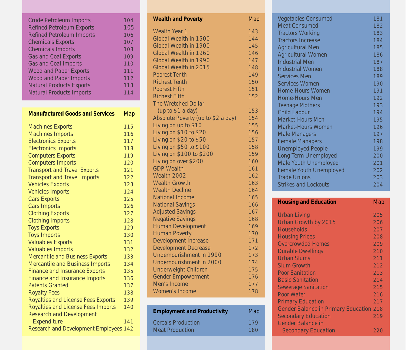| <b>Crude Petroleum Imports</b>   | 104 |
|----------------------------------|-----|
| <b>Refined Petroleum Exports</b> | 105 |
| <b>Refined Petroleum Imports</b> | 106 |
| <b>Chemicals Exports</b>         | 107 |
| <b>Chemicals Imports</b>         | 108 |
| <b>Gas and Coal Exports</b>      | 109 |
| <b>Gas and Coal Imports</b>      | 110 |
| <b>Wood and Paper Exports</b>    | 111 |
| <b>Wood and Paper Imports</b>    | 112 |
| <b>Natural Products Exports</b>  | 113 |
| <b>Natural Products Imports</b>  | 114 |
|                                  |     |

#### **Manufactured Goods and Services** Map

| <b>Machines Exports</b>                   | 115 |
|-------------------------------------------|-----|
| <b>Machines Imports</b>                   | 116 |
| <b>Electronics Exports</b>                | 117 |
| <b>Electronics Imports</b>                | 118 |
| <b>Computers Exports</b>                  | 119 |
| <b>Computers Imports</b>                  | 120 |
| <b>Transport and Travel Exports</b>       | 121 |
| <b>Transport and Travel Imports</b>       | 122 |
| <b>Vehicles Exports</b>                   | 123 |
| <b>Vehicles Imports</b>                   | 124 |
| <b>Cars Exports</b>                       | 125 |
| <b>Cars Imports</b>                       | 126 |
| <b>Clothing Exports</b>                   | 127 |
| <b>Clothing Imports</b>                   | 128 |
| <b>Toys Exports</b>                       | 129 |
| <b>Toys Imports</b>                       | 130 |
| <b>Valuables Exports</b>                  | 131 |
| <b>Valuables Imports</b>                  | 132 |
| <b>Mercantile and Business Exports</b>    | 133 |
| Mercantile and Business Imports           | 134 |
| <b>Finance and Insurance Exports</b>      | 135 |
| Finance and Insurance Imports             | 136 |
| <b>Patents Granted</b>                    | 137 |
| <b>Royalty Fees</b>                       | 138 |
| <b>Royalties and License Fees Exports</b> | 139 |
| Royalties and License Fees Imports        | 140 |
| <b>Research and Development</b>           |     |
| Expenditure                               | 141 |
| Research and Development Employees 142    |     |

| <b>Wealth and Poverty</b>          | Map |
|------------------------------------|-----|
| <b>Wealth Year 1</b>               | 143 |
| Global Wealth in 1500              | 144 |
| Global Wealth in 1900              | 145 |
| Global Wealth in 1960              | 146 |
| Global Wealth in 1990              | 147 |
| Global Wealth in 2015              | 148 |
| <b>Poorest Tenth</b>               | 149 |
| <b>Richest Tenth</b>               | 150 |
| <b>Poorest Fifth</b>               | 151 |
| <b>Richest Fifth</b>               | 152 |
| <b>The Wretched Dollar</b>         |     |
| (up to \$1 a day)                  | 153 |
| Absolute Poverty (up to \$2 a day) | 154 |
| Living on up to \$10               | 155 |
| Living on \$10 to \$20             | 156 |
| Living on \$20 to \$50             | 157 |
| Living on \$50 to \$100            | 158 |
| Living on \$100 to \$200           | 159 |
| Living on over \$200               | 160 |
| <b>GDP Wealth</b>                  | 161 |
| Wealth 2002                        | 162 |
| <b>Wealth Growth</b>               | 163 |
| <b>Wealth Decline</b>              | 164 |
| National Income                    | 165 |
| <b>National Savings</b>            | 166 |
| <b>Adjusted Savings</b>            | 167 |
| <b>Negative Savings</b>            | 168 |
| <b>Human Development</b>           | 169 |
| <b>Human Poverty</b>               | 170 |
| <b>Development Increase</b>        | 171 |
| <b>Development Decrease</b>        | 172 |
| Undernourishment in 1990           | 173 |
| Undernourishment in 2000           | 174 |
| <b>Underweight Children</b>        | 175 |
| <b>Gender Empowerment</b>          | 176 |
| Men's Income                       | 177 |
| Women's Income                     | 178 |
|                                    |     |

| <b>Employment and Productivity</b> | Map |
|------------------------------------|-----|
| <b>Cereals Production</b>          | 179 |
| <b>Meat Production</b>             | 180 |
|                                    |     |

| <b>Vegetables Consumed</b>     | 181 |
|--------------------------------|-----|
| <b>Meat Consumed</b>           | 182 |
| <b>Tractors Working</b>        | 183 |
| <b>Tractors Increase</b>       | 184 |
| <b>Agricultural Men</b>        | 185 |
| <b>Agricultural Women</b>      | 186 |
| <b>Industrial Men</b>          | 187 |
| <b>Industrial Women</b>        | 188 |
| <b>Services Men</b>            | 189 |
| <b>Services Women</b>          | 190 |
| Home-Hours Women               | 191 |
| Home-Hours Men                 | 192 |
| <b>Teenage Mothers</b>         | 193 |
| Child Labour                   | 194 |
| Market-Hours Men               | 195 |
| Market-Hours Women             | 196 |
| <b>Male Managers</b>           | 197 |
| <b>Female Managers</b>         | 198 |
| <b>Unemployed People</b>       | 199 |
| Long-Term Unemployed           | 200 |
| Male Youth Unemployed          | 201 |
| <b>Female Youth Unemployed</b> | 202 |
| <b>Trade Unions</b>            | 203 |
| Strikes and Lockouts           | 204 |
|                                |     |

| <b>Housing and Education</b>                   | Map |
|------------------------------------------------|-----|
| <b>Urban Living</b>                            | 205 |
| Urban Growth by 2015                           | 206 |
| <b>Households</b>                              | 207 |
| <b>Housing Prices</b>                          | 208 |
| <b>Overcrowded Homes</b>                       | 209 |
| <b>Durable Dwellings</b>                       | 210 |
| <b>Urban Slums</b>                             | 211 |
| <b>Slum Growth</b>                             | 212 |
| <b>Poor Sanitation</b>                         | 213 |
| <b>Basic Sanitation</b>                        | 214 |
| <b>Sewerage Sanitation</b>                     | 215 |
| <b>Poor Water</b>                              | 216 |
| <b>Primary Education</b>                       | 217 |
| <b>Gender Balance in Primary Education 218</b> |     |
| <b>Secondary Education</b>                     | 219 |
| <b>Gender Balance in</b>                       |     |
| <b>Secondary Education</b>                     | 220 |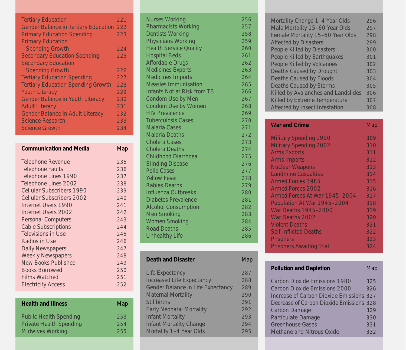| <b>Tertiary Education</b>                   | 221 |
|---------------------------------------------|-----|
| <b>Gender Balance in Tertiary Education</b> | 222 |
| <b>Primary Education Spending</b>           | 223 |
| <b>Primary Education</b>                    |     |
| <b>Spending Growth</b>                      | 224 |
| <b>Secondary Education Spending</b>         | 225 |
| <b>Secondary Education</b>                  |     |
| <b>Spending Growth</b>                      | 226 |
| <b>Tertiary Education Spending</b>          | 227 |
| <b>Tertiary Education Spending Growth</b>   | 228 |
| <b>Youth Literacy</b>                       | 229 |
| <b>Gender Balance in Youth Literacy</b>     | 230 |
| <b>Adult Literacy</b>                       | 231 |
| <b>Gender Balance in Adult Literacy</b>     | 232 |
| <b>Science Research</b>                     | 233 |
| <b>Science Growth</b>                       | 234 |
|                                             |     |

| <b>Communication and Media</b> | Map |
|--------------------------------|-----|
| <b>Telephone Revenue</b>       | 235 |
| <b>Telephone Faults</b>        | 236 |
| Telephone Lines 1990           | 237 |
| Telephone Lines 2002           | 238 |
| Cellular Subscribers 1990      | 239 |
| Cellular Subscribers 2002      | 240 |
| Internet Users 1990            | 241 |
| Internet Users 2002            | 242 |
| <b>Personal Computers</b>      | 243 |
| <b>Cable Subscriptions</b>     | 244 |
| <b>Televisions in Use</b>      | 245 |
| Radios in Use                  | 246 |
| <b>Daily Newspapers</b>        | 247 |
| <b>Weekly Newspapers</b>       | 248 |
| <b>New Books Published</b>     | 249 |
| <b>Books Borrowed</b>          | 250 |
| <b>Films Watched</b>           | 251 |
| <b>Electricity Access</b>      | 252 |
|                                |     |

| <b>Health and Illness</b>      | Map |
|--------------------------------|-----|
| <b>Public Health Spending</b>  | 253 |
| <b>Private Health Spending</b> | 254 |
| <b>Midwives Working</b>        | 255 |

| <b>Nurses Working</b>         | 256 |
|-------------------------------|-----|
| <b>Pharmacists Working</b>    | 257 |
| <b>Dentists Working</b>       | 258 |
| Physicians Working            | 259 |
| <b>Health Service Quality</b> | 260 |
| <b>Hospital Beds</b>          | 261 |
| <b>Affordable Drugs</b>       | 262 |
| <b>Medicines Exports</b>      | 263 |
| <b>Medicines Imports</b>      | 264 |
| <b>Measles Immunisation</b>   | 265 |
| Infants Not at Risk from TB   | 266 |
| Condom Use by Men             | 267 |
| Condom Use by Women           | 268 |
| <b>HIV Prevalence</b>         | 269 |
| <b>Tuberculosis Cases</b>     | 270 |
| Malaria Cases                 | 271 |
| <b>Malaria Deaths</b>         | 272 |
| <b>Cholera Cases</b>          | 273 |
| <b>Cholera Deaths</b>         | 274 |
| <b>Childhood Diarrhoea</b>    | 275 |
| <b>Blinding Disease</b>       | 276 |
| <b>Polio Cases</b>            | 277 |
| <b>Yellow Fever</b>           | 278 |
| <b>Rabies Deaths</b>          | 279 |
| <b>Influenza Outbreaks</b>    | 280 |
| Diabetes Prevalence           | 281 |
| <b>Alcohol Consumption</b>    | 282 |
| Men Smoking                   | 283 |
| <b>Women Smoking</b>          | 284 |
| <b>Road Deaths</b>            | 285 |
| <b>Unhealthy Life</b>         | 286 |

| <b>Death and Disaster</b>         | Map |
|-----------------------------------|-----|
| Life Expectancy                   | 287 |
| <b>Increased Life Expectancy</b>  | 288 |
| Gender Balance in Life Expectancy | 289 |
| <b>Maternal Mortality</b>         | 290 |
| <b>Stillbirths</b>                | 291 |
| <b>Early Neonatal Mortality</b>   | 292 |
| <b>Infant Mortality</b>           | 293 |
| <b>Infant Mortality Change</b>    | 294 |
| Mortality 1-4 Year Olds           | 295 |

| Mortality Change 1-4 Year Olds      | 296 |
|-------------------------------------|-----|
| Male Mortality 15-60 Year Olds      | 297 |
| Female Mortality 15-60 Year Olds    | 298 |
| <b>Affected by Disasters</b>        | 299 |
| <b>People Killed by Disasters</b>   | 300 |
| People Killed by Earthquakes        | 301 |
| People Killed by Volcanoes          | 302 |
| Deaths Caused by Drought            | 303 |
| <b>Deaths Caused by Floods</b>      | 304 |
| <b>Deaths Caused by Storms</b>      | 305 |
| Killed by Avalanches and Landslides | 306 |
| Killed by Extreme Temperature       | 307 |
| Affected by Insect Infestation      | 308 |

| <b>War and Crime</b>            | Map |
|---------------------------------|-----|
| <b>Military Spending 1990</b>   | 309 |
| <b>Military Spending 2002</b>   | 310 |
| <b>Arms Exports</b>             | 311 |
| <b>Arms Imports</b>             | 312 |
| <b>Nuclear Weapons</b>          | 313 |
| Landmine Casualties             | 314 |
| <b>Armed Forces 1985</b>        | 315 |
| Armed Forces 2002               | 316 |
| Armed Forces At War 1945-2004   | 317 |
| Population At War 1945-2004     | 318 |
| <b>War Deaths 1945-2000</b>     | 319 |
| War Deaths 2002                 | 320 |
| <b>Violent Deaths</b>           | 321 |
| <b>Self-Inflicted Deaths</b>    | 322 |
| <b>Prisoners</b>                | 323 |
| <b>Prisoners Awaiting Trial</b> | 324 |
|                                 |     |

| <b>Pollution and Depletion</b>       | Map |
|--------------------------------------|-----|
| <b>Carbon Dioxide Emissions 1980</b> | 325 |
| <b>Carbon Dioxide Emissions 2000</b> | 326 |

| Calbull Diuxide Elilissiulis 2000        | 370 |
|------------------------------------------|-----|
| Increase of Carbon Dioxide Emissions 327 |     |
| Decrease of Carbon Dioxide Emissions 328 |     |
| <b>Carbon Damage</b>                     | 329 |
| Particulate Damage                       | 330 |
| <b>Greenhouse Gases</b>                  | 331 |
| Methane and Nitrous Oxide                | 332 |
|                                          |     |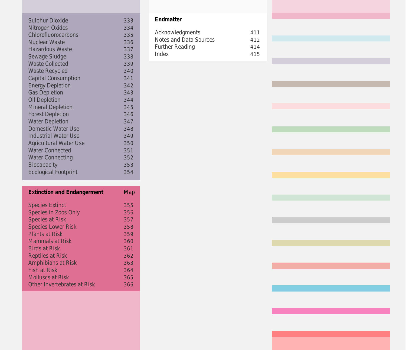| <b>Sulphur Dioxide</b>        | 333 |
|-------------------------------|-----|
| Nitrogen Oxides               | 334 |
| Chlorofluorocarbons           | 335 |
| <b>Nuclear Waste</b>          | 336 |
| <b>Hazardous Waste</b>        | 337 |
| Sewage Sludge                 | 338 |
| Waste Collected               | 339 |
| <b>Waste Recycled</b>         | 340 |
| <b>Capital Consumption</b>    | 341 |
| <b>Energy Depletion</b>       | 342 |
| <b>Gas Depletion</b>          | 343 |
| <b>Oil Depletion</b>          | 344 |
| <b>Mineral Depletion</b>      | 345 |
| <b>Forest Depletion</b>       | 346 |
| <b>Water Depletion</b>        | 347 |
| Domestic Water Use            | 348 |
| <b>Industrial Water Use</b>   | 349 |
| <b>Agricultural Water Use</b> | 350 |
| <b>Water Connected</b>        | 351 |
| <b>Water Connecting</b>       | 352 |
| Biocapacity                   | 353 |
| <b>Ecological Footprint</b>   | 354 |
|                               |     |

| <b>Species Extinct</b><br>355      |  |
|------------------------------------|--|
|                                    |  |
| <b>Species in Zoos Only</b><br>356 |  |
| <b>Species at Risk</b><br>357      |  |
| <b>Species Lower Risk</b><br>358   |  |
| <b>Plants at Risk</b><br>359       |  |
| <b>Mammals at Risk</b><br>360      |  |
| <b>Birds at Risk</b><br>361        |  |
| <b>Reptiles at Risk</b><br>362     |  |
| <b>Amphibians at Risk</b><br>363   |  |
| <b>Fish at Risk</b><br>364         |  |
| <b>Molluscs at Risk</b><br>365     |  |
| Other Invertebrates at Risk<br>366 |  |

#### **Endmatter**

| Acknowledgments        | 411 |
|------------------------|-----|
| Notes and Data Sources | 412 |
| <b>Further Reading</b> | 414 |
| Index                  | 415 |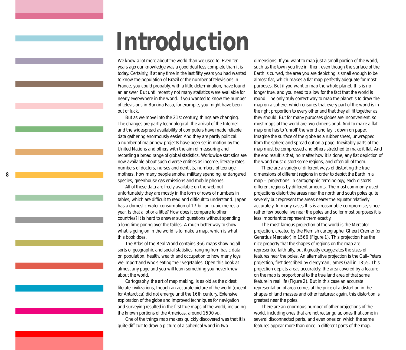## **Introduction**

We know a lot more about the world than we used to. Even ten years ago our knowledge was a good deal less complete than it is today. Certainly, if at any time in the last fifty years you had wanted to know the population of Brazil or the number of televisions in France, you could probably, with a little determination, have found an answer. But until recently not many statistics were available for nearly everywhere in the world. If you wanted to know the number of televisions in Burkina Faso, for example, you might have been out of luck.

But as we move into the 21st century, things are changing. The changes are partly technological: the arrival of the Internet and the widespread availability of computers have made reliable data gathering enormously easier. And they are partly political: a number of major new projects have been set in motion by the United Nations and others with the aim of measuring and recording a broad range of global statistics. Worldwide statistics are now available about such diverse entities as income, literacy rates, numbers of doctors, nurses and dentists, numbers of teenage mothers, how many people smoke, military spending, endangered species, greenhouse gas emissions and mobile phones.

All of these data are freely available on the web but unfortunately they are mostly in the form of rows of numbers in tables, which are difficult to read and difficult to understand. Japan has a domestic water consumption of 17 billion cubic metres a year. Is that a lot or a little? How does it compare to other countries? It is hard to answer such questions without spending a long time poring over the tables. A much better way to show what is going on in the world is to make a map, which is what this book does.

*The Atlas of the Real World* contains 366 maps showing all sorts of geographic and social statistics, ranging from basic data on population, health, wealth and occupation to how many toys we import and who's eating their vegetables. Open this book at almost any page and you will learn something you never knew about the world.

Cartography, the art of map making, is as old as the oldest literate civilizations, though an accurate picture of the world (except for Antarctica) did not emerge until the 16th century. Extensive exploration of the globe and improved techniques for navigation and surveying resulted in the first true maps of the world, including the known portions of the Americas, around 1500 AD .

One of the things map makers quickly discovered was that it is quite difficult to draw a picture of a spherical world in two

dimensions. If you want to map just a small portion of the world, such as the town you live in, then, even though the surface of the Earth is curved, the area you are depicting is small enough to be almost flat, which makes a flat map perfectly adequate for most purposes. But if you want to map the whole planet, this is no longer true, and you need to allow for the fact that the world is round. The only truly correct way to map the planet is to draw the map on a sphere, which ensures that every part of the world is in the right proportion to every other and that they all fit together as they should. But for many purposes globes are inconvenient, so most maps of the world are two-dimensional. And to make a flat map one has to 'unroll' the world and lay it down on paper. Imagine the surface of the globe as a rubber sheet, unwrapped from the sphere and spread out on a page. Inevitably parts of the map must be compressed and others stretched to make it flat. And the end result is that, no matter how it is done, any flat depiction of the world must distort some regions, and often all of them.

There are a variety of different ways of distorting the true dimensions of different regions in order to depict the Earth in a map – 'projections' in cartographic terminology; each distorts different regions by different amounts. The most commonly used projections distort the areas near the north and south poles quite severely but represent the areas nearer the equator relatively accurately. In many cases this is a reasonable compromise, since rather few people live near the poles and so for most purposes it is less important to represent them exactly.

The most famous projection of the world is the Mercator projection, created by the Flemish cartographer Gheert Cremer (or Gerardus Mercator) in 1569 (Figure 1). This projection has the nice property that the shapes of regions on the map are represented faithfully, but it greatly exaggerates the sizes of features near the poles. An alternative projection is the Gall–Peters projection, first described by clergyman James Gall in 1855. This projection depicts areas accurately: the area covered by a feature on the map is proportional to the true land area of that same feature in real life (Figure 2). But in this case an accurate representation of area comes at the price of a distortion in the shapes of land masses and other features; again, this distortion is greatest near the poles.

There are an enormous number of other projections of the world, including ones that are not rectangular, ones that come in several disconnected parts, and even ones on which the same features appear more than once in different parts of the map.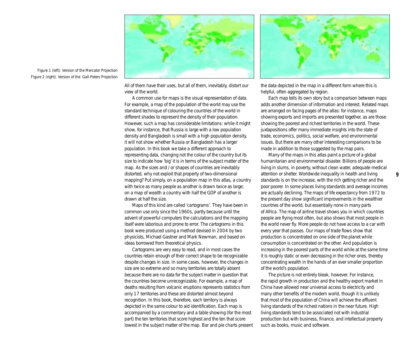

Figure 2 (right). Version of the Gall-Peters Projection Figure 1 (left). Version of the Mercator Projection

All of them have their uses, but all of them, inevitably, distort our view of the world.

A common use for maps is the visual representation of data. For example, a map of the population of the world may use the standard technique of colouring the countries of the world in different shades to represent the density of their population. However, such a map has considerable limitations: while it might show, for instance, that Russia is large with a low population density and Bangladesh is small with a high population density, it will not show whether Russia or Bangladesh has a larger population. In this book we take a different approach to representing data, changing not the colour of the country but its size to indicate how 'big' it is in terms of the subject matter of the map. As the sizes and / or shapes of countries are inevitably distorted, why not exploit that property of two-dimensional mapping? Put simply, on a population map in this atlas, a country with twice as many people as another is drawn twice as large; on a map of wealth a country with half the GDP of another is drawn at half the size.

Maps of this kind are called 'cartograms'. They have been in common use only since the 1960s, partly because until the advent of powerful computers the calculations and the mapping itself were laborious and prone to error. The cartograms in this book were produced using a method devised in 2004 by two physicists, Michael Gastner and Mark Newman, and based on ideas borrowed from theoretical physics.

Cartograms are very easy to read, and in most cases the countries retain enough of their correct shape to be recognizable despite changes in size. In some cases, however, the changes in size are so extreme and so many territories are totally absent because there are no data for the subject matter in question that the countries become unrecognizable. For example, a map of deaths resulting from volcanic eruptions represents statistics from only 17 territories and these are distorted almost beyond recognition. In this book, therefore, each territory is always depicted in the same colour to aid identification. Each map is accompanied by a commentary and a table showing (for the most part) the ten territories that score highest and the ten that score lowest in the subject matter of the map. Bar and pie charts present



the data depicted in the map in a different form where this is helpful, often aggregated by region.

Each map tells its own story but a comparison between maps adds another dimension of information and interest. Related maps are arranged on facing pages of the atlas: for instance, maps showing exports and imports are presented together, as are those showing the poorest and richest territories in the world. These juxtapositions offer many immediate insights into the state of trade, economics, politics, social welfare, and environmental issues. But there are many other interesting comparisons to be made in addition to those suggested by the map pairs.

Many of the maps in this atlas paint a picture of a global humanitarian and environmental disaster. Billions of people are living in slums, in poverty, without clean water, adequate medical attention or shelter. Worldwide inequality in health and living standards is on the increase, with the rich getting richer and the poor poorer. In some places living standards and average incomes are actually declining. The maps of life expectancy from 1972 to the present day show significant improvements in the wealthier countries of the world, but essentially none in many parts of Africa. The map of airline travel shows you in which countries people are flying most often, but also shows that most people in the world never fly. More people do not have access to a car with every year that passes. Our maps of trade flows show that production is concentrated on one side of the planet while consumption is concentrated on the other. And population is increasing in the poorest parts of the world while at the same time it is roughly static or even decreasing in the richer ones, thereby concentrating wealth in the hands of an ever smaller proportion of the world's population.

The picture is not entirely bleak, however. For instance, the rapid growth in production and the healthy export market in China have allowed near universal access to electricity and many other benefits of the modern world, though it is unlikely that most of the population of China will achieve the affluent living standards of the richest nations in the near future. High living standards tend to be associated not with industrial production but with business, finance, and intellectual property such as books, music and software.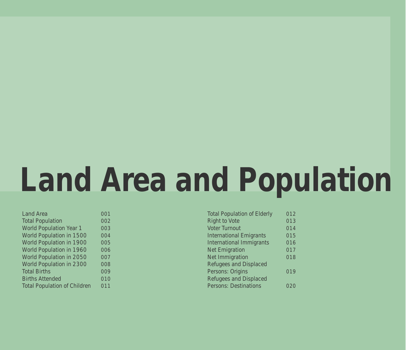# **Land Area and Population**

| Land Area                           | 001 |
|-------------------------------------|-----|
| <b>Total Population</b>             | 002 |
| <b>World Population Year 1</b>      | 003 |
| World Population in 1500            | 004 |
| World Population in 1900            | 005 |
| World Population in 1960            | 006 |
| World Population in 2050            | 007 |
| World Population in 2300            | 008 |
| <b>Total Births</b>                 | 009 |
| <b>Births Attended</b>              | 010 |
| <b>Total Population of Children</b> | 011 |
|                                     |     |

| 012 |
|-----|
| 013 |
| 014 |
| 015 |
| 016 |
| 017 |
| 018 |
|     |
| 019 |
|     |
| 020 |
|     |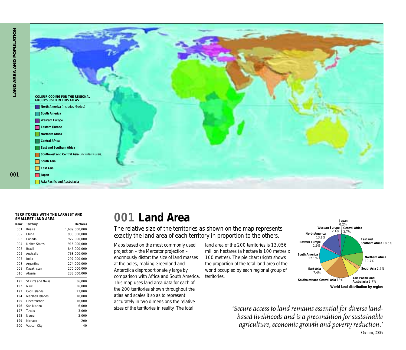

#### **TERRITORIES WITH THE LARGEST AND SMALLEST LAND AREA**

| Rank    | Territory            | Hectares      |
|---------|----------------------|---------------|
| 001     | Russia               | 1.689.000.000 |
| 002     | China                | 933.000.000   |
|         | 003 Canada           | 922.000.000   |
| 004     | <b>Holted States</b> | 916.000.000   |
| 005     | <b>Rrazil</b>        | 846,000,000   |
| 005     | Australia            | 768.000.000   |
| 007     | India                | 297.000.000   |
| 008     | Argentina            | 274,000,000   |
| COR     | Kazakhstan           | 270.000.000   |
| 010     | Algeria              | 238.000.000   |
|         |                      |               |
| 191     | St Kitts and Nevis   | 36.000        |
| 192     | Nise                 | 26.000        |
| 193     | Cook Islands         | 23.800        |
| $194 -$ | Marshall Islands     | 18,000        |
| 195     | Liechtenstein        | 16.000        |
| 196     | San Marino           | 6.000         |
| 197     | Tuvalu               | 3.000         |
| 198     | Naunu                | 2.000         |
| $199 -$ | Monaco               | 200           |
| 200     | Vatican City         | 40            |

### **001 Land Area**

The relative size of the territories as shown on the map represents exactly the land area of each territory in proportion to the others.

Maps based on the most commonly used projection – the Mercator projection – enormously distort the size of land masses at the poles, making Greenland and Antarctica disproportionately large by comparison with Africa and South America. This map uses land area data for each of the 200 territories shown throughout the atlas and scales it so as to represent accurately in two dimensions the relative sizes of the territories in reality. The total

land area of the 200 territories is 13,056 million hectares (a hectare is 100 metres x 100 metres). The pie chart (right) shows the proportion of the total land area of the world occupied by each regional group of territories.



*'Secure access to land remains essential for diverse landbased livelihoods and is a precondition for sustainable agriculture, economic growth and poverty reduction.'*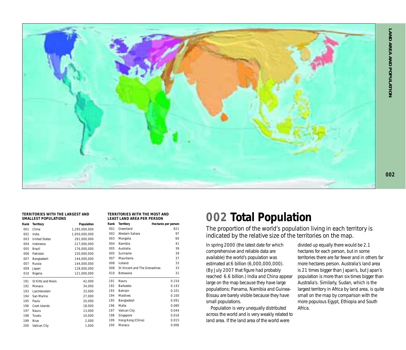

#### **TERRITORIES WITH THE LARGEST AND SMALLEST POPULATIONS**

| Rank    | Territory            | Population    |
|---------|----------------------|---------------|
| 001     | China                | 1.295.000.000 |
| coo     | India                | 1.050.000.000 |
| 003     | <b>Holted States</b> | 291.000.000   |
| 004     | Indonesia            | 217.000.000   |
| 005     | <b>Rrazil</b>        | 176.000.000   |
| 006     | Pakistan             | 150.000.000   |
| 007     | Bangladesh           | 144.000.000   |
| 007     | <b>Russia</b>        | 144.000.000   |
| one     | Japan                | 128.000.000   |
| 010     | Nigeria              | 121.000.000   |
|         |                      |               |
| 191     | St Kitts and Nevis   | 42.000        |
| 192     | Monaco               | 34,000        |
| 193     | Liechtenstein        | 33.000        |
| 194.    | San Marino           | 27.000        |
| 195     | Paulu                | 20.000        |
| 196     | Cook Islands         | 18.000        |
| 197     | Naunu                | 13.000        |
| 198     | Tovalo               | 10.000        |
| $199 -$ | Nine                 | 2.000         |

#### **TERRITORIES WITH THE MOST AND LEAST LAND AREA PER PERSON**

| Rank       | Territory                     | Hectares per person |
|------------|-------------------------------|---------------------|
| 001        | Greenland                     | 821                 |
| 002        | Western Sahara                | 97                  |
| $003 -$    | Mongolia                      | 60                  |
| $004 -$    | Namihia                       | 41                  |
|            | 005 Australia                 | 39                  |
| 005        | Suriname                      | 39                  |
| 007        | Mauritania                    | 37                  |
|            | 008 Ineland                   | 33                  |
| <b>BOO</b> | St Vincent and The Grenadines | 33                  |
| $010 -$    | <b>Rotswana</b>               | 31                  |
| 191        | Nauru                         | 0.154               |
| 192        | <b>Rarbados</b>               | 0.143               |
| 193        | Rahrain                       | 0.101               |
| 194        | Maldives                      | 0.100               |
| 195        | Bangladesh                    | 0.091               |
| 196        | Malta                         | 0.080               |
| 197        | Vatican City                  | 0.044               |
| 198        | Singapore                     | 0.016               |
| 199        | Hong Kong (China)             | 0.015               |
| 200        | Monaco                        | 0.006               |
|            |                               |                     |

### **002 Total Population**

The proportion of the world's population living in each territory is indicated by the relative size of the territories on the map.

In spring 2000 (the latest date for which comprehensive and reliable data are available) the world's population was estimated at 6 billion (6,000,000,000). (By July 2007 that figure had probably reached 6.6 billion.) India and China appear large on the map because they have large populations; Panama, Namibia and Guinea-Bissau are barely visible because they have small populations.

Population is very unequally distributed across the world and is very weakly related to land area. If the land area of the world were

divided up equally there would be 2.1 hectares for each person, but in some territories there are far fewer and in others far more hectares person. Australia's land area is 21 times bigger than Japan's, but Japan's population is more than six times bigger than Australia's. Similarly, Sudan, which is the largest territory in Africa by land area, is quite small on the map by comparison with the more populous Egypt, Ethiopia and South Africa.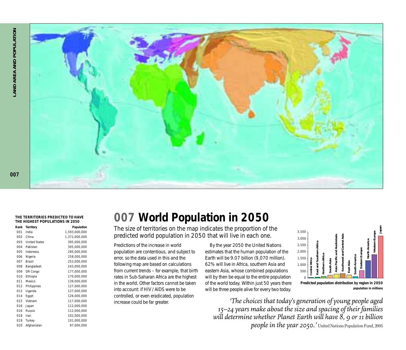

#### **THE TERRITORIES PREDICTED TO HAVE THE HIGHEST POPULATIONS IN 2050**

| Rank | Territory            | Population    |
|------|----------------------|---------------|
| 001  | India                | 1.593.000.000 |
| 002  | China                | 1.372.000.000 |
| 003  | <b>Holled States</b> | 395.000.000   |
| 004  | Pakistan             | 305.000.000   |
| 005  | Indonesia            | 285.000.000   |
| 006  | Nigeria              | 258.000.000   |
| 007  | <b>Rrazil</b>        | 253.000.000   |
| COR  | Bangladesh           | 243.000.000   |
| 009  | DR Congo             | 177.000.000   |
| 010  | Ethiopia             | 170.000.000   |
| 011  | Mexico               | 139.000.000   |
| 012  | Philippines          | 127.000.000   |
| 012  | Uganda               | 127.000.000   |
| 014  | Eqypt                | 126.000.000   |
| 015  | Vietnam              | 117.000.000   |
| 016  | Japan                | 112.000.000   |
| 016  | <b>Russia</b>        | 112.000.000   |
| 018  | Iran                 | 102.000.000   |
| 019  | Turkey               | 101.000.000   |
| 020  | Afghanistan          | 97.000.000    |

### **007 World Population in 2050**

The size of territories on the map indicates the proportion of the predicted world population in 2050 that will live in each one.

Predictions of the increase in world population are contentious, and subject to error, so the data used in this and the following map are based on calculations from current trends – for example, that birth rates in Sub-Saharan Africa are the highest in the world. Other factors cannot be taken into account: if HIV / AIDS were to be controlled, or even eradicated, population increase could be far greater.

By the year 2050 the United Nations estimates that the human population of the Earth will be 9.07 billion (9,070 million). 62% will live in Africa, southern Asia and eastern Asia, whose combined populations will by then be equal to the entire population of the world today. Within just 50 years there will be three people alive for every two today.



*'The choices that today's generation of young people aged 15–24 years make about the size and spacing of their families will determine whether Planet Earth will have 8, 9 or 11 billion people in the year 2050.'* United Nations Population Fund, 2005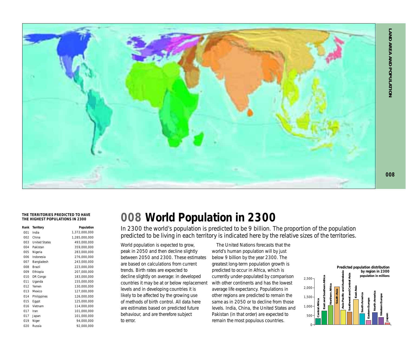

#### **THE TERRITORIES PREDICTED TO HAVE THE HIGHEST POPULATIONS IN 2300**

| Rank | Territory            | Population    |
|------|----------------------|---------------|
| 001  | India                | 1.372.000.000 |
| 002  | China                | 1.285.000.000 |
| 003  | <b>Holted States</b> | 493.000.000   |
| 004  | Pakistan             | 359.000.000   |
| 005  | Nigeria              | 283,000,000   |
| 006  | Indonesia            | 276.000.000   |
| 007  | Bangladesh           | 243.000.000   |
| 008  | <b>Rrazil</b>        | 223.000.000   |
| 009  | Ethiopia             | 207.000.000   |
| 010  | DR Congo             | 183.000.000   |
| 011  | Uganda               | 155.000.000   |
| 012  | <b>Yemen</b>         | 130.000.000   |
| 013  | Mexico               | 127.000.000   |
| 014  | <b>Philippines</b>   | 126.000.000   |
| 015  | Egypt                | 125.000.000   |
| 016  | Vietnam              | 114.000.000   |
| 017  | Iran                 | 101.000.000   |
| 017  | Japan                | 101.000.000   |
| 019  | Niger                | 94.000.000    |
| 020  | <b>Russia</b>        | 92.000.000    |

### **008 World Population in 2300**

In 2300 the world's population is predicted to be 9 billion. The proportion of the population predicted to be living in each territory is indicated here by the relative sizes of the territories.

World population is expected to grow, peak in 2050 and then decline slightly between 2050 and 2300. These estimates are based on calculations from current trends. Birth rates are expected to decline slightly on average: in developed countries it may be at or below replacement levels and in developing countries it is likely to be affected by the growing use of methods of birth control. All data here are estimates based on predicted future behaviour, and are therefore subject to error.

The United Nations forecasts that the world's human population will by just below 9 billion by the year 2300. The greatest long-term population growth is predicted to occur in Africa, which is currently under-populated by comparison with other continents and has the lowest average life expectancy. Populations in other regions are predicted to remain the same as in 2050 or to decline from those levels. India, China, the United States and Pakistan (in that order) are expected to remain the most populous countries.

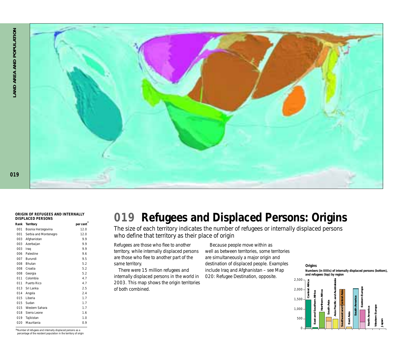

#### **ORIGIN OF REFUGEES AND INTERNALLY DISPLACED PERSONS**

| Rank | Territory             | per cent           |
|------|-----------------------|--------------------|
| 001  | Bosnia Herzegovina    | 12.0               |
| 001  | Serbia and Montenegro | 120                |
| 003  | Afghanistan           | Q                  |
| 003  | Azerbaijan            | Q                  |
| 003  | Irag                  | Q                  |
| 006  | Palestine             | 96                 |
| 007  | <b>Runindi</b>        | $Q$ $\overline{b}$ |
| COR  | Rhutan                | 5.2                |
| COR  | Croatia               | 52                 |
| 008  | Georgia               | 52                 |
| 011  | Colombia              | 4.7                |
| 011  | Puerto Rico           | 4.7                |
| 013  | Sri Lanka             | 2.5                |
| 014  | Angola                | 2.4                |
| 015  | I iberia              | 17                 |
| 015  | Sudan                 | 17                 |
| 015  | Western Sabara        | 1.7                |
| 01.R | Sierra Leone          | 16                 |
| 019  | Tajikistan            | 1.0                |
| 020  | Mauritania            | 0.9                |

### **019 Refugees and Displaced Persons: Origins**

The size of each territory indicates the number of refugees or internally displaced persons who define that territory as their place of origin

Refugees are those who flee to another territory, while internally displaced persons are those who flee to another part of the same territory.

There were 15 million refugees and internally displaced persons in the world in 2003. This map shows the origin territories of both combined.

Because people move within as well as between territories, some territories are simultaneously a major origin and destination of displaced people. Examples include Iraq and Afghanistan – see Map 020: Refugee Destination, opposite.





**a**Number of refugees and internally displaced persons as a percentage of the resident population in the territory of origin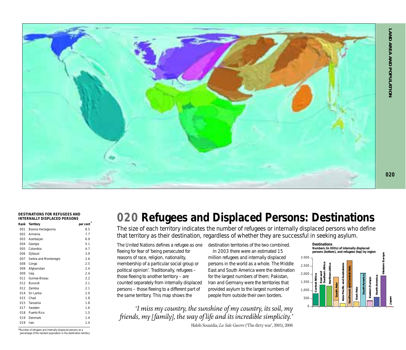

#### **DESTINATIONS FOR REFUGEES AND INTERNALLY DISPLACED PERSONS**

| Rank | Territory             | per cent |
|------|-----------------------|----------|
| 001  | Bosnia Herzegovina    | 85       |
| 002  | Armenia               | 77       |
| 003  | Azerbailan            | 69       |
| 004  | Georgia               | 5.1      |
| 005  | Colombia              | 4.7      |
| 006  | Dilbouti              | 39       |
| 007  | Serbia and Montenegro | 26       |
| 008  | Congo                 | 2.5      |
| 009  | Afghanistan           | 2.4      |
| 009  | Iraq                  | 2.4      |
| 011  | Guinea-Rissau         | 2.2      |
| 012  | Burundi               | 2.1      |
| 012  | <b>Zambia</b>         | 21       |
| 014  | Sri Lanka             | 20       |
| 015  | Chad                  | 1.8      |
| 015  | Tanzania              | 1.8      |
| 017  | Sweden                | 1.6      |
| 018  | Puerto Rico           | 1.5      |
| 019  | Denmark               | 1.4      |
| 019  | Iran                  | 14       |
|      |                       |          |

**020 Refugees and Displaced Persons: Destinations**

The size of each territory indicates the number of refugees or internally displaced persons who define that territory as their destination, regardless of whether they are successful in seeking asylum.

fleeing for fear of 'being persecuted for reasons of race, religion, nationality, membership of a particular social group or political opinion'. Traditionally, refugees – those fleeing to another territory – are counted separately from internally displaced persons – those fleeing to a different part of the same territory. This map shows the

The United Nations defines a refugee as one destination territories of the two combined. In 2003 there were an estimated 15

million refugees and internally displaced persons in the world as a whole. The Middle East and South America were the destination for the largest numbers of them; Pakistan, Iran and Germany were the territories that provided asylum to the largest numbers of people from outside their own borders.



*'I miss my country, the sunshine of my country, its soil, my friends, my [family], the way of life and its incredible simplicity.'*

Habib Souaidia, *La Sale Guerre* ('The dirty war', 2001), 2006

**a**Number of refugees and internally displaced persons as a percentage of the resident population in the destination territory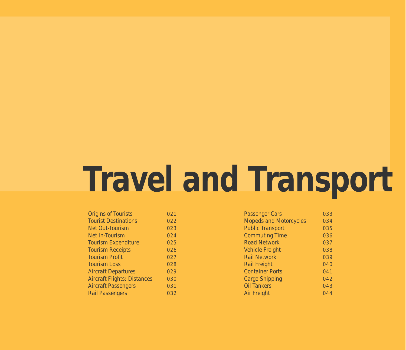# **Travel and Transport**

| <b>Origins of Tourists</b>         | 021 |
|------------------------------------|-----|
| <b>Tourist Destinations</b>        | 022 |
| <b>Net Out-Tourism</b>             | 023 |
| Net In-Tourism                     | 024 |
| <b>Tourism Expenditure</b>         | 025 |
| <b>Tourism Receipts</b>            | 026 |
| <b>Tourism Profit</b>              | 027 |
| <b>Tourism Loss</b>                | 028 |
| <b>Aircraft Departures</b>         | 029 |
| <b>Aircraft Flights: Distances</b> | 030 |
| <b>Aircraft Passengers</b>         | 031 |
| <b>Rail Passengers</b>             | 032 |

| 033 |
|-----|
| 034 |
| 035 |
| 036 |
| 037 |
| 038 |
| 039 |
| 040 |
| 041 |
| 042 |
| 043 |
| 044 |
|     |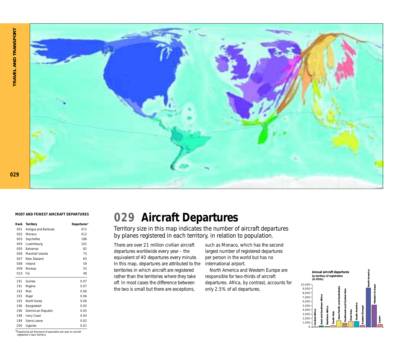

#### **MOST AND FEWEST AIRCRAFT DEPARTURES**

| Rank    | Territory           | Departures |
|---------|---------------------|------------|
| 001     | Antigua and Barbuda | 672        |
| 002     | Monaco              | 412        |
| 003     | Sevchelles          | 186        |
| nn a    | Luxembourg          | 102        |
| 005     | <b>Rahamas</b>      | 82         |
| 006     | Marshall Islands    | 75         |
| 007     | New Zealand         | 65         |
| 800     | Ireland             | 5g         |
| 900     | Norway              | 55         |
| $010 -$ | Fiii                | 48         |
|         |                     |            |
| 191     | Guinea              | 0.07       |
| 191     | Nigeria             | 0.07       |
| 193     | Mali                | 0.06       |
| 193     | Niger               | 0.06       |
| 193     | North Korea         | 0.06       |
| 196     | Bangladesh          | 0.05       |
| 196     | Dominican Republic  | 0.05       |
| 198     | Ivory Coast         | 0.04       |
| $199 -$ | Sierra Leone        | 0.02       |

### **029 Aircraft Departures**

Territory size in this map indicates the number of aircraft departures by planes registered in each territory, in relation to population.

There are over 21 million civilian aircraft departures worldwide every year – the equivalent of 40 departures every minute. In this map, departures are attributed to the territories in which aircraft are registered rather than the territories where they take off. In most cases the difference between the two is small but there are exceptions,

such as Monaco, which has the second largest number of registered departures per person in the world but has no international airport.

North America and Western Europe are responsible for two-thirds of aircraft departures. Africa, by contrast, accounts for only 2.5% of all departures.



**a**Departures per thousand of population per year on aircraft registered in each territory.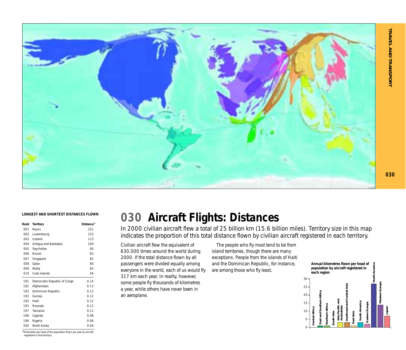

#### **LONGEST AND SHORTEST DISTANCES FLOWN**

| Rank | Territory                    | Distance |
|------|------------------------------|----------|
| 001  | Naunu                        | 231      |
| 002  | Luxembourg                   | 153      |
| COO. | Insband                      | 113      |
| 004  | Antigua and Barbados         | 100      |
| 005  | Sevchelles                   | 90       |
| 006  | <b>Rrunei</b>                | 83       |
| 007  | Singapore                    | 82       |
| COR  | Oatar                        | 80       |
| 900  | Malta                        | 65       |
| 010  | Cook Islands                 | 56       |
|      |                              |          |
| 191  | Democratic Republic of Congo | 0.14     |
| 192  | Afghanistan                  | 0.13     |
| 193  | Dominican Republic           | 0.12     |
| 193  | Guinea                       | 0.12     |
| 193  | Haiti                        | 0.12     |
| 193  | Rwanda                       | 0.12     |
| 197  | Tanzania                     | 0.11     |
| 198  | Uganda                       | 0.08     |
| 199  | Nigeria                      | 0.06     |

### **030 Aircraft Flights: Distances**

In 2000 civilian aircraft flew a total of 25 billion km (15.6 billion miles). Territory size in this map indicates the proportion of this total distance flown by civilian aircraft registered in each territory.

Civilian aircraft flew the equivalent of 630,000 times around the world during 2000. If the total distance flown by all passengers were divided equally among everyone in the world, each of us would fly 317 km each year. In reality, however, some people fly thousands of kilometres a year, while others have never been in an aeroplane.

The people who fly most tend to be from island territories, though there are many exceptions. People from the islands of Haiti and the Dominican Republic, for instance, are among those who fly least.



**a**Kilometres per head of the population flown per year by aircraft registered in that territory.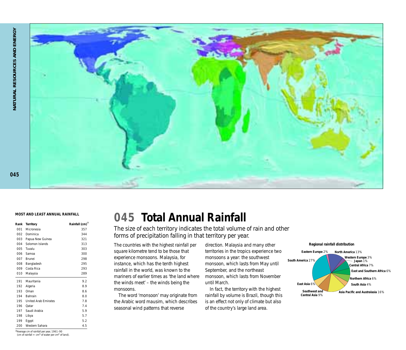

#### **MOST AND LEAST ANNUAL RAINFALL**

| Rank | Territory                   | Rainfall (cm)  |
|------|-----------------------------|----------------|
| 001  | Micronesia                  | 357            |
| 002  | Dominica                    | 344            |
| 003  | Papua New Guinea            | 321            |
| 004  | Solomon Islands             | 313            |
| 005  | Tuvalu                      | 303            |
| 006  | Samoa                       | 300            |
| 007  | Brunei                      | 298            |
| 008  | Bangladesh                  | 295            |
| 009  | Costa Rica                  | 293            |
| 010  | Malaysia                    | 289            |
|      |                             |                |
| 191  | Mauritania                  | 92             |
| 192  | Algeria                     | R <sub>q</sub> |
| 193  | Oman                        | 86             |
| 194  | Rahrain                     | 8.0            |
| 195  | <b>United Arab Emirates</b> | 7.8            |
| 196  | Oatar                       | 7.4            |
| 197  | Saudi Arabia                | 5.9            |
| 198  | Libya                       | 5.7            |
| 199  | Eavot                       | 5.2            |

### **045 Total Annual Rainfall**

The size of each territory indicates the total volume of rain and other forms of precipitation falling in that territory per year.

The countries with the highest rainfall per square kilometre tend to be those that experience monsoons. Malaysia, for instance, which has the tenth highest rainfall in the world, was known to the mariners of earlier times as 'the land where the winds meet' – the winds being the monsoons.

The word 'monsoon' may originate from the Arabic word *mausim*, which describes seasonal wind patterns that reverse

direction. Malaysia and many other territories in the tropics experience two monsoons a year: the southwest monsoon, which lasts from May until September, and the northeast monsoon, which lasts from November until March.

In fact, the territory with the highest rainfall by volume is Brazil, though this is an effect not only of climate but also of the country's large land area.

#### **Regional rainfall distribution**



**a**Average cm of rainfall per year, 1961–90 (cm of rainfall = cm3 of water per cm2 of land).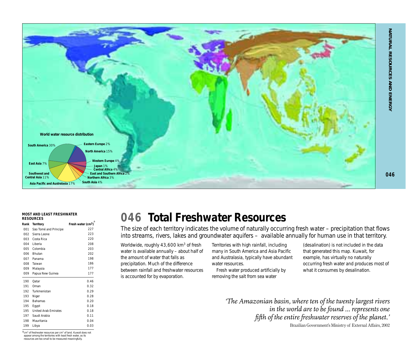

#### **MOST AND LEAST FRESHWATER RESOURCES**

|      | Rank Territory              | Fresh water (cm <sup>3</sup> ) |
|------|-----------------------------|--------------------------------|
| 001  | São Tomé and Principe       | 227                            |
| 002  | Sierra Leone                | 223                            |
| COO. | Costa Rica                  | 220                            |
| 004  | Liberia                     | 208                            |
| 005  | Colombia                    | 203                            |
| 006  | Rhutan                      | 202                            |
| 007  | Panama                      | 198                            |
|      | OOR Taiwan                  | 186                            |
| 009  | Malaysia                    | 177                            |
| 009  | Papua New Guinea            | 177                            |
| 190  | Oatar                       | 0.46                           |
| 191  | Oman                        | 0.32                           |
| 192  | Turkmenistan                | 0.29                           |
| 193  | Niger                       | 0.28                           |
| 194  | <b>Rahamas</b>              | 0.20                           |
| 195  | Egypt                       | 0.18                           |
| 195  | <b>United Arab Emirates</b> | 0.18                           |
| 197  | Saudi Arabia                | 0.11                           |
| 198  | Mauritania                  | 0.04                           |
| 199  | Libya                       | 0.03                           |
|      |                             |                                |

**a**cm3 of freshwater resources per cm2 of land. Kuwait does not appear among the territories with least fresh water, as its resources are too small to be measured meaningfully.

### **046 Total Freshwater Resources**

The size of each territory indicates the volume of naturally occurring fresh water – precipitation that flows into streams, rivers, lakes and groundwater aquifers – available annually for human use in that territory.

Worldwide, roughly 43,600 km<sup>3</sup> of fresh water is available annually – about half of the amount of water that falls as precipitation. Much of the difference between rainfall and freshwater resources is accounted for by evaporation.

Territories with high rainfall, including many in South America and Asia Pacific and Australasia, typically have abundant water resources.

Fresh water produced artificially by removing the salt from sea water

(desalination) is not included in the data that generated this map. Kuwait, for example, has virtually no naturally occurring fresh water and produces most of what it consumes by desalination.

*'The Amazonian basin, where ten of the twenty largest rivers in the world are to be found ... represents one fifth of the entire freshwater reserves of the planet.'*  Brazilian Government's Ministry of External Affairs, 2002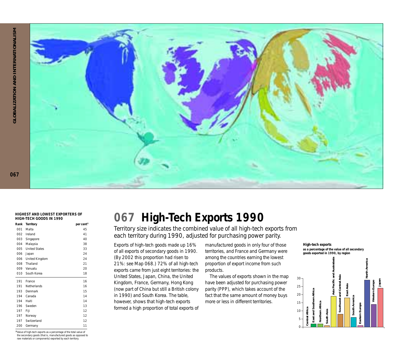

#### **HIGHEST AND LOWEST EXPORTERS OF HIGH-TECH GOODS IN 1990**

| Rank | Territory            | per cent |
|------|----------------------|----------|
| 001  | <b>Malta</b>         | 45       |
| 002  | Ireland              | 41       |
| 003  | Singapore            | 40       |
| 004  | Malaysia             | 38       |
| 005  | <b>Holled States</b> | 33       |
| 006  | Japan                | 24       |
| 006  | United Kingdom       | 24       |
| 008  | Thailand             | 21       |
| 009  | Vanuatu              | $_{20}$  |
| 010  | South Korea          | 18       |
|      |                      |          |
| 191  | France               | 16       |
| 191  | <b>Netherlands</b>   | 16       |
| 193  | Denmark              | 15       |
| 194. | Canada               | 14       |
| 194  | Haiti                | 14       |
| 196  | Sweden               | 13       |
| 197  | Fili                 | 12       |
| 197  | Norway               | 12       |
| 197  | Switzerland          | 12       |

**067 High-Tech Exports 1990** 

Territory size indicates the combined value of all high-tech exports from each territory during 1990, adjusted for purchasing power parity.

Exports of high-tech goods made up 16% of all exports of secondary goods in 1990. (By 2002 this proportion had risen to 21%: see Map 068.) 72% of all high-tech exports came from just eight territories: the United States, Japan, China, the United Kingdom, France, Germany, Hong Kong (now part of China but still a British colony in 1990) and South Korea. The table, however, shows that high-tech exports formed a high proportion of total exports of

manufactured goods in only four of those territories, and France and Germany were among the countries earning the lowest proportion of export income from such products.

The values of exports shown in the map have been adjusted for purchasing power parity (PPP), which takes account of the fact that the same amount of money buys more or less in different territories.



**a**Value of high-tech exports as a percentage of the total value of the secondary goods (that is, manufactured goods as opposed to raw materials or components) exported by each territory.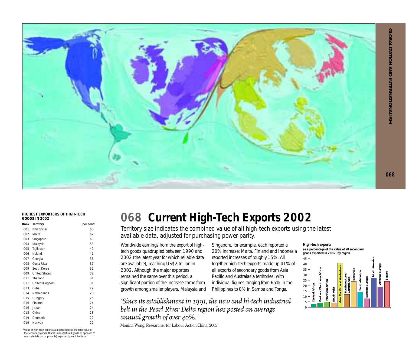

#### **HIGHEST EXPORTERS OF HIGH-TECH GOODS IN 2002**

| Rank | Territory            | per cent |
|------|----------------------|----------|
| 001  | Philippines          | 65       |
| 002  | Malta                | 62       |
| 003  | Singapore            | 60       |
| 004  | Malaysia             | F.R      |
| 005  | Tajikistan           | 42       |
| 006  | Ireland              | 41       |
| 007  | Georgia              | 28       |
| 800  | Costa Rica           | 37       |
| 009  | South Korea          | 32       |
| 009  | <b>Holted States</b> | 32       |
| 011  | Thailand             | 31       |
| 011  | United Kingdom       | 31       |
| 013  | Cuba                 | 29       |
| 014  | Netherlands          | 28       |
| 015  | Hungary              | 25       |
| 016  | Finland              | 24       |
| 016  | Japan                | 24       |
| 018  | China                | 23       |
| 019  | Denmark              | 22       |
| 019  | Norway               | 22       |

### **068 Current High-Tech Exports 2002**

Territory size indicates the combined value of all high-tech exports using the latest available data, adjusted for purchasing power parity.

Worldwide earnings from the export of hightech goods quadrupled between 1990 and 2002 (the latest year for which reliable data are available), reaching US\$2 trillion in 2002. Although the major exporters remained the same over this period, a significant portion of the increase came from growth among smaller players. Malaysia and

Singapore, for example, each reported a 20% increase; Malta, Finland and Indonesia reported increases of roughly 15%. All together high-tech exports made up 41% of all exports of secondary goods from Asia Pacific and Australasia territories, with individual figures ranging from 65% in the Philippines to 0% in Samoa and Tonga.

**High-tech exports as a percentage of the value of all secondary goods exported in 2002, by region**



*'Since its establishment in 1991, the new and hi-tech industrial belt in the Pearl River Delta region has posted an average annual growth of over 40%.'* 

Monina Wong, Researcher for Labour Action China, 2005

a of high-tech exports as a percentage of the total value the secondary goods (that is, manufactured goods as opposed to raw materials or components) exported by each territory.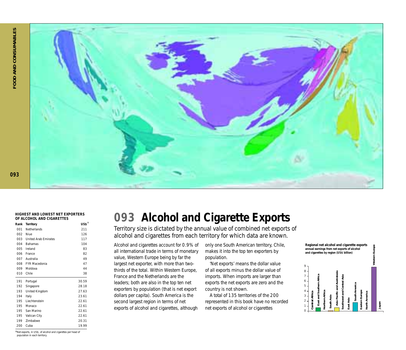

#### **HIGHEST AND LOWEST NET EXPORTERS OF ALCOHOL AND CIGARETTES**

| Rank    | Territory                   | <b>US\$</b> |
|---------|-----------------------------|-------------|
| 001     | Netherlands                 | 211         |
| 002     | Nium-                       | 126         |
| 003     | <b>United Arab Emirates</b> | 117         |
| 004     | Bahamas                     | 104         |
| 005     | Ireland                     | R3          |
| 006     | France                      | 82          |
| 007     | Australia                   | 49          |
| COD.    | <b>EYR Macedonia</b>        | 47          |
| 009     | Moldova                     | 44          |
| $010 -$ | Chile                       | 38          |
|         |                             |             |
| 191     | Portugal                    | 30.59       |
| 192     | Singapore                   | 28.18       |
| 193     | United Kingdom              | 27.63       |
| 194.    | Italy                       | 23.61       |
| 195     | Liechtenstein               | 22.61       |
| 195     | Monaco                      | 22.61       |
| 195     | San Marino                  | 22.61       |
| 195     | Vatican City                | 22.61       |
| 199     | <b>Zimhahwe</b>             | 20.31       |

### **093 Alcohol and Cigarette Exports**

Territory size is dictated by the annual value of combined net exports of alcohol and cigarettes from each territory for which data are known.

Alcohol and cigarettes account for 0.9% of all international trade in terms of monetary value, Western Europe being by far the largest net exporter, with more than twothirds of the total. Within Western Europe, France and the Netherlands are the leaders; both are also in the top ten net exporters by population (that is net export dollars per capita). South America is the second largest region in terms of net exports of alcohol and cigarettes, although

only one South American territory, Chile, makes it into the top ten exporters by population.

'Net exports' means the dollar value of all exports minus the dollar value of imports. When imports are larger than exports the net exports are zero and the country is not shown.

A total of 135 territories of the 200 represented in this book have no recorded net exports of alcohol or cigarettes



**a**Net exports, in US\$, of alcohol and cigarettes per head of population in each territory.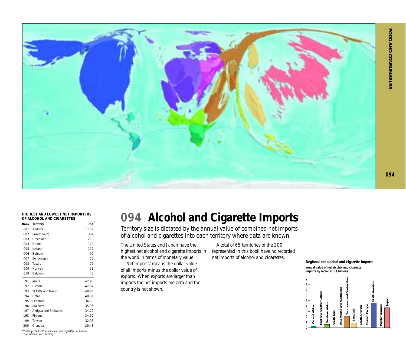

#### **HIGHEST AND LOWEST NET IMPORTERS OF ALCOHOL AND CIGARETTES**

|      | Rank Territory       | <b>US\$</b> |
|------|----------------------|-------------|
| 001  | Andorra              | 1172        |
| 002  | Luxembourg           | 302         |
| FOO. | Greenland            | 213         |
| 004  | <b>Rrunei</b>        | 123         |
| 005  | locland              | 117         |
| 006  | Rahrain              | 92          |
| 007  | Switzerland          | 77          |
| 008  | Tovalo               | 75          |
| 009  | Norway               | R.R         |
| 010  | Belgium              | 48          |
|      |                      |             |
| 191  | Malta                | 42.90       |
| 192  | Estonia              | 42.02       |
| 193  | St Kitts and Nevis   | 40.86       |
| 194. | Oatar                | 40.31       |
| 195  | Lehanon              | 36.39       |
| 196  | Maldives             | 35.96       |
| 197  | Antigua and Barbados | 34.72       |
| 198  | Finland              | 34.50       |
| 199  | Tahwan               | 32.93       |

### **094 Alcohol and Cigarette Imports**

Territory size is dictated by the annual value of combined net imports of alcohol and cigarettes into each territory where data are known.

The United States and Japan have the highest net alcohol and cigarette imports in represented in this book have no recorded the world in terms of monetary value.

'Net imports' means the dollar value of all imports minus the dollar value of exports. When exports are larger than imports the net imports are zero and the country is not shown.

A total of 65 territories of the 200 net imports of alcohol and cigarettes.

**Regional net alcohol and cigarette imports annual value of net alcohol and cigarette imports by region (US\$ billion)**



**a**Net imports, in US\$, of alcohol and cigarettes per head of population in each territory.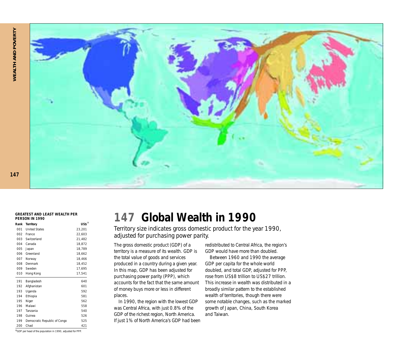

#### **GREATEST AND LEAST WEALTH PER PERSON IN 1990**

| Rank | Territory                    | 2211   |
|------|------------------------------|--------|
| 001  | <b>Holled States</b>         | 23.201 |
| 002  | France                       | 22.603 |
| EO0  | Switzerland                  | 21.482 |
| 004  | Canada                       | 18.872 |
| 005  | Japan                        | 18.789 |
| 006  | Greenland                    | 18.662 |
| 007  | Norway                       | 18.466 |
| 800  | Denmark                      | 18.452 |
| 900  | Sweden                       | 17.695 |
| 010  | Hong Kong                    | 17.541 |
| 191  | Bangladesh                   | 640    |
| 192  | Afghanistan                  | 601    |
| 193  | Uganda                       | 592    |
| 194  | Ethiopia                     | 581    |
| 195  | Niger                        | 562    |
| 196  | Malawi                       | 558    |
| 197  | Tanzania                     | 540    |
|      |                              |        |
| 198  | Guinea                       | 526    |
| 199  | Democratic Republic of Congo | 525    |

### **147 Global Wealth in 1990**

Territory size indicates gross domestic product for the year 1990, adjusted for purchasing power parity.

The gross domestic product (GDP) of a territory is a measure of its wealth. GDP is the total value of goods and services produced in a country during a given year. In this map, GDP has been adjusted for purchasing power parity (PPP), which accounts for the fact that the same amount of money buys more or less in different places.

In 1990, the region with the lowest GDP was Central Africa, with just 0.8% of the GDP of the richest region, North America. If just 1% of North America's GDP had been

redistributed to Central Africa, the region's GDP would have more than doubled.

Between 1960 and 1990 the average GDP per capita for the whole world doubled, and total GDP, adjusted for PPP, rose from US\$8 trillion to US\$27 trillion. This increase in wealth was distributed in a broadly similar pattern to the established wealth of territories, though there were some notable changes, such as the marked growth of Japan, China, South Korea and Taiwan.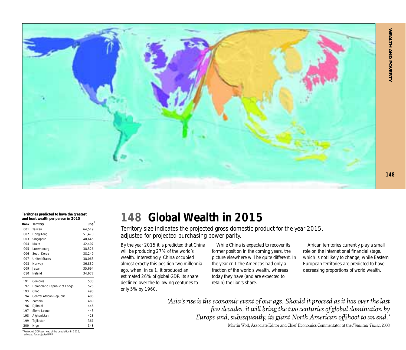

#### **Territories predicted to have the greatest and least wealth per person in 2015**

**a**

|      | Rank Territory               | <b>ISS</b> |
|------|------------------------------|------------|
| 001  | Tahwan                       | 64.519     |
| 002  | Hong Kong                    | 51.470     |
| FOO. | Singapore                    | 48.645     |
| 004  | Malta                        | 42.407     |
| 005  | Luxembourg                   | 38.526     |
| 006  | South Korea                  | 38.249     |
| 007  | <b>United States</b>         | 38.063     |
| 008  | Norway                       | 36.830     |
| 009  | Japan                        | 35.694     |
| 010  | Ireland                      | 34.677     |
| 191  | Comoros                      | 533        |
| 192  | Democratic Republic of Congo | 525        |
| 193  | Chad                         | 493        |
| 194  | Central African Republic     | 485        |
|      |                              |            |
| 195  | Zambia                       | 480        |
| 196  | Diibouti                     | 446        |
| 197  | Sierra Leone                 | 443        |
| 198  | Afghanistan                  | 423        |
| 199  | Taiikistan                   | 361        |

### **148 Global Wealth in 2015**

Territory size indicates the projected gross domestic product for the year 2015, adjusted for projected purchasing power parity.

By the year 2015 it is predicted that China will be producing 27% of the world's wealth. Interestingly, China occupied almost exactly this position two millennia ago, when, in CE 1, it produced an estimated 26% of global GDP. Its share declined over the following centuries to only 5% by 1960.

While China is expected to recover its former position in the coming years, the picture elsewhere will be quite different. In the year CE 1 the Americas had only a fraction of the world's wealth, whereas today they have (and are expected to retain) the lion's share.

African territories currently play a small role on the international financial stage, which is not likely to change, while Eastern European territories are predicted to have decreasing proportions of world wealth.

*'Asia's rise is the economic event of our age. Should it proceed as it has over the last few decades, it will bring the two centuries of global domination by Europe and, subsequently, its giant North American offshoot to an end.'*  Martin Wolf, Associate Editor and Chief Economics Commentator at the *Financial Times*, 2003

**a**Projected GDP per head of the population in 2015, adjusted for projected PPP.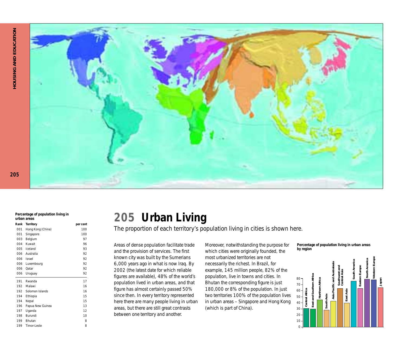

#### **Percentage of population living in urban areas**

| Rank    | Territory         | per cent |
|---------|-------------------|----------|
| 001     | Hong Kong (China) | 100      |
| 001     | Singapore         | 100      |
| 003     | Belgium           | 97       |
| 004     | Kuwait            | 96       |
| 005     | Iceland           | 93       |
| 006     | Australia         | 92       |
| 006     | <b>Brael</b>      | 92       |
| 006     | Luxembourg        | 92       |
| 006     | Oatar             | 92       |
| 006     | Uruguay           | 92       |
| 191     | Rwanda            | 17       |
| 192     | Malawi            | 16       |
| 192     | Solomon Islands   | 16       |
| 194.    | Ethiopia          | 15       |
| 194     | Nepal             | 15       |
| 196     | Papua New Guinea  | 13       |
| 197     | Uganda            | 12       |
| 198     | Burundi           | 10       |
| $199 -$ | Bhutan            | 8        |
| 199     | Timor-Leste       | 8        |
|         |                   |          |

### **205 Urban Living**

The proportion of each territory's population living in cities is shown here.

Areas of dense population facilitate trade and the provision of services. The first known city was built by the Sumerians 6,000 years ago in what is now Iraq. By 2002 (the latest date for which reliable figures are available), 48% of the world's population lived in urban areas, and that figure has almost certainly passed 50% since then. In every territory represented here there are many people living in urban areas, but there are still great contrasts between one territory and another.

Moreover, notwithstanding the purpose for which cities were originally founded, the most urbanized territories are not necessarily the richest. In Brazil, for example, 145 million people, 82% of the population, live in towns and cities. In Bhutan the corresponding figure is just 180,000 or 8% of the population. In just two territories 100% of the population lives in urban areas – Singapore and Hong Kong (which is part of China).



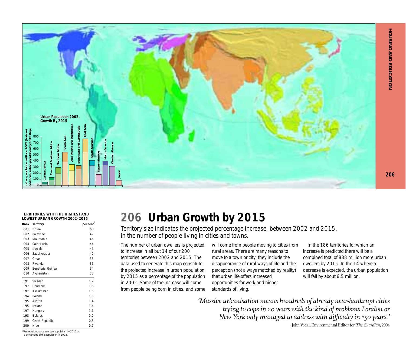

#### **TERRITORIES WITH THE HIGHEST AND LOWEST URBAN GROWTH 2002–2015**

| Rank    | Territory         | per cent       |
|---------|-------------------|----------------|
| 001     | <b>Rrunei</b>     | 63             |
| 002     | Palestine         | 47             |
|         | 003 Mauritania    | 45             |
|         | 004 Saint Lucia   | 44             |
|         | 005 Kuwait        | 41             |
|         | 006 Saudi Arabia  | 40             |
| 007     | Oman              | 38             |
|         | ODR Rwanda        | 35             |
| 009     | Equatorial Guinea | 34             |
| 010     | Afghanistan       | 33             |
|         |                   |                |
| 191     | Sweden            | 1 <sup>q</sup> |
| 192     | Denmark           | 1.6            |
|         | 192 Kazakhstan    | 1.6            |
| $194 -$ | Poland            | 1.5            |
| 195     | Austria           | 14             |
|         | 195 Ineland       | 1.4            |
| 197     | Hungary           | 1.1            |
| 198     | <b>Rebrus</b>     | n q            |
| 199     | Czech Republic    | 0.8            |
| 200     | Nine              | 0.7            |

### **206 Urban Growth by 2015**

Territory size indicates the projected percentage increase, between 2002 and 2015, in the number of people living in cities and towns.

The number of urban dwellers is projected to increase in all but 14 of our 200 territories between 2002 and 2015. The data used to generate this map constitute the projected increase in urban population by 2015 as a percentage of the population in 2002. Some of the increase will come from people being born in cities, and some

will come from people moving to cities from rural areas. There are many reasons to move to a town or city: they include the disappearance of rural ways of life and the perception (not always matched by reality) that urban life offers increased opportunities for work and higher standards of living.

In the 186 territories for which an increase is predicted there will be a combined total of 888 million more urban dwellers by 2015. In the 14 where a decrease is expected, the urban population will fall by about 6.5 million.

*'Massive urbanisation means hundreds of already near-bankrupt cities trying to cope in 20 years with the kind of problems London or New York only managed to address with difficulty in 150 years.'*  John Vidal, Environmental Editor for *The Guardian*, 2004

**a**Projected increase in urban population by 2015 as a percentage of the population in 2002.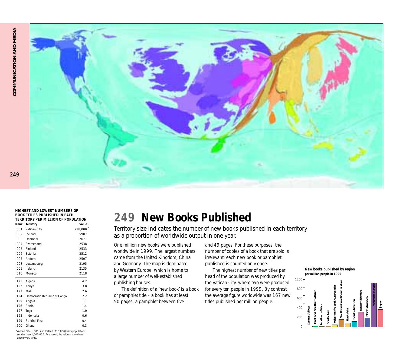

#### **HIGHEST AND LOWEST NUMBERS OF BOOK TITLES PUBLISHED IN EACH TERRITORY PER MILLION OF POPULATION**

| Rank    | Territory                    | Value   |
|---------|------------------------------|---------|
| 001     | Vatican City                 | 228.000 |
| 002     | Ineband                      | 5987    |
| 003     | Denmark                      | 2677    |
|         | 004 Switzerland              | 2538    |
|         | 005 Finland                  | 2533    |
| 006     | Estonia                      | 2512    |
| 007     | Andorra                      | 2507    |
| 008     | Luxembourg                   | 2195    |
| 009     | Ireland                      | 2135    |
| 010     | Monaco                       | 2118    |
| 191     | Algeria                      | 4.2     |
| 192     | Kenya                        | 3.8     |
| 193     | Mali                         | 2.6     |
| 194     | Democratic Republic of Congo | 2.2     |
| 195     | Angola                       | 1.7     |
| 196     | Renin                        | 14      |
| 197     | Togo                         | 1.0     |
| 198     | Indonesia                    | 0.6     |
| $199 -$ | <b>Burkina Faso</b>          | 0.4     |
| 200     | Ghana                        | 0.3     |
|         |                              |         |

**249 New Books Published**

Territory size indicates the number of new books published in each territory as a proportion of worldwide output in one year.

One million new books were published worldwide in 1999. The largest numbers came from the United Kingdom, China and Germany. The map is dominated by Western Europe, which is home to a large number of well-established publishing houses.

The definition of a 'new book' is a book or pamphlet title – a book has at least 50 pages, a pamphlet between five

and 49 pages. For these purposes, the number of copies of a book that are sold is irrelevant: each new book or pamphlet published is counted only once.

The highest number of new titles per head of the population was produced by the Vatican City, where two were produced for every ten people in 1999. By contrast the average figure worldwide was 167 new titles published per million people.





**a**Vatican City (1,000) and Iceland (310,000) have populations smaller than 1,000,000. As a result, the values shown here appear very large.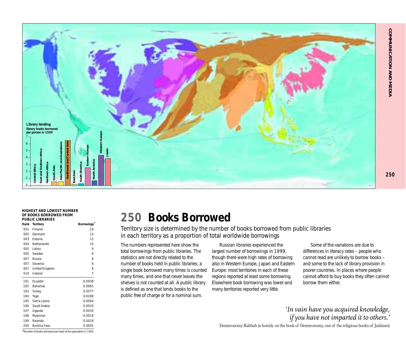

#### **HIGHEST AND LOWEST NUMBER OF BOOKS BORROWED FROM PUBLIC LIBRARIES**

| Rank    | Territory          | Borrowings |
|---------|--------------------|------------|
| 001     | Finland            | 19         |
| 002     | Denmark            | 14         |
| COO.    | Estonia            | 12         |
| $004 -$ | <b>Netherlands</b> | 10         |
| 005     | <b>Rivis</b> I     | q          |
| 005     | Sweden             | q          |
| 007     | <b>Russia</b>      | s          |
| 007     | Slowenia           | я          |
| 007     | United Kingdom     | s          |
| $010 -$ | Insband            | 7          |
| 191     | Fouador            | 0.0938     |
| 192     | <b>Rahamas</b>     | 0.0681     |
| 193     | Turkey             | 0.0577     |
| 194.    | Togo               | 0.0288     |
| 195     | Sierra Leone       | 0.0094     |
| 196     | Saudi Arabia       | 0.0033     |
| 197     | Uganda             | 0.0030     |
| 198     | Myanmar            | 0.0019     |
| 199     | Rwanda             | 0.0018     |
|         | 200 Burkina Faso   | 0.0005     |
|         |                    |            |

### **250 Books Borrowed**

Territory size is determined by the number of books borrowed from public libraries in each territory as a proportion of total worldwide borrowings

The numbers represented here show the total borrowings from public libraries. The statistics are not directly related to the number of books held in public libraries: a single book borrowed many times is counted many times, and one that never leaves the shelves is not counted at all. A public library is defined as one that lends books to the public free of charge or for a nominal sum.

Russian libraries experienced the largest number of borrowings in 1999, though there were high rates of borrowing also in Western Europe, Japan and Eastern Europe: most territories in each of these regions reported at least some borrowing. Elsewhere book borrowing was lower and many territories reported very little.

Some of the variations are due to differences in literacy rates – people who cannot read are unlikely to borrow books – and some to the lack of library provision in poorer countries. In places where people cannot afford to buy books they often cannot borrow them either.

*'In vain have you acquired knowledge, if you have not imparted it to others.'* 

Deuteronomy Rabbah (a homily on the book of Deuteronomy, one of the religious books of Judaism)

**a**Number of books borrowed per head of the population in 1999.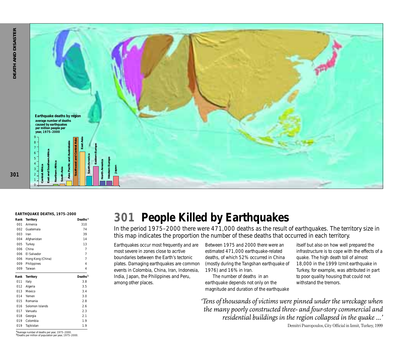

#### **EARTHQUAKE DEATHS, 1975–2000**

|      | lemtory            | Deaths |
|------|--------------------|--------|
| 001  | Armenia            | 310    |
| 002  | Guatemala          | 74     |
| 200  | Iran               | 39     |
| 004  | Afghanistan        | 14     |
| 005  | Turkey             | 13     |
| 006  | China              | 7      |
|      | 006 El Salvador    | 7      |
| 006  | Hong Kong (China)  | 7      |
| 009  | <b>Philippines</b> | A      |
| 900  | Taiwan             | A      |
|      |                    |        |
| Rank | Territory          | Deaths |
| 011  | Italy              | 3.8    |
| 012  | Algeria            | 3.5    |
| 013  | Mexico             | 3.4    |
| 014  | <b>Yemen</b>       | 3.0    |
| 015  | Romania            | 2.8    |
| 016  | Solomon Islands    | 2.6    |
| 017  | Vanuatu            | 2.3    |
| 018  | Georgia            | 2.1    |
| 019  | Colombia           | 1.9    |

**301 People Killed by Earthquakes**

In the period 1975–2000 there were 471,000 deaths as the result of earthquakes. The territory size in this map indicates the proportion the number of these deaths that occurred in each territory.

Earthquakes occur most frequently and are most severe in zones close to acrtive boundaries between the Earth's tectonic plates. Damaging earthquakes are common events in Colombia, China, Iran, Indonesia, India, Japan, the Philippines and Peru, among other places.

Between 1975 and 2000 there were an estimated 471,000 earthquake-related deaths, of which 52% occurred in China (mostly during the Tangshan earthquake of 1976) and 16% in Iran.

The number of deaths in an earthquake depends not only on the magnitude and duration of the earthquake itself but also on how well prepared the infrastructure is to cope with the effects of a quake. The high death toll of almost 18,000 in the 1999 Izmit earthquake in Turkey, for example, was attributed in part to poor quality housing that could not withstand the tremors.

*'Tens of thousands of victims were pinned under the wreckage when the many poorly constructed three- and four-story commercial and residential buildings in the region collapsed in the quake ...'* 

Demitri Psaropoulos, City Official in Izmit, Turkey, 1999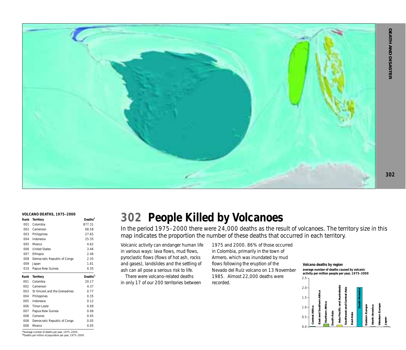

#### **VOLCANO DEATHS, 1975–2000**

| Rank       | Territory                     | Deaths <sup>3</sup> |
|------------|-------------------------------|---------------------|
| 001        | Colombia                      | 877 31              |
| 002        | Cameroon                      | 68.58               |
|            | 003 Philippines               | 27.65               |
| 004        | Indonesia                     | 25.35               |
|            | 005 Mexico                    | 4.62                |
| - 200      | <b>Holted States</b>          | 3.46                |
| 007        | Ethiopia                      | 2.46                |
| 800        | Democratic Republic of Congo  | 2.35                |
| enn        | Japan                         | 1.81                |
| 010        | Papua New Guinea              | 0.35                |
|            |                               |                     |
| Rank       | Territory                     | Deaths <sup>h</sup> |
| 001        | Colombia                      | 20.17               |
| $002 -$    | Cameroon                      | 4 37                |
| COO.       | St Vincent and the Grenadines | 0.77                |
| nn4.       | Philippines                   | 0.35                |
| 005        | Indonesia                     | 0.12                |
| 006        | Timor-Leste                   | 0.09                |
| 007        | Papua New Guinea              | 0.06                |
| 800        | Comoros                       | 0.05                |
| <b>BOO</b> | Democratic Republic of Congo  | 0.05                |
| ROO.       | Mexico                        | 0.05                |

**302 People Killed by Volcanoes**

In the period 1975–2000 there were 24,000 deaths as the result of volcanoes. The territory size in this map indicates the proportion the number of these deaths that occurred in each territory.

Volcanic activity can endanger human life in various ways: lava flows, mud flows, pyroclastic flows (flows of hot ash, rocks and gases), landslides and the settling of ash can all pose a serious risk to life.

There were volcano-related deaths in only 17 of our 200 territories between

1975 and 2000. 86% of those occurred in Colombia, primarily in the town of Armero, which was inundated by mud flows following the eruption of the Nevado del Ruíz volcano on 13 November 1985. Almost 22,000 deaths were recorded.





**a**Average number of deaths per year, 1975–2000. **b**Deaths per million of population per year, 1975–2000.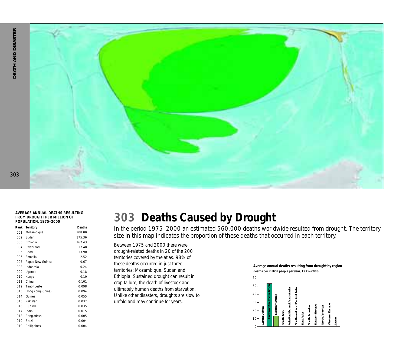

#### **AVERAGE ANNUAL DEATHS RESULTING FROM DROUGHT PER MILLION OF POPULATION, 1975–2000**

| Rank | Territory         | Deaths |
|------|-------------------|--------|
| 001  | Mozambigue        | 208.00 |
| 002  | Sudan             | 175.36 |
| 003  | Ethiopia          | 167.43 |
| 004  | Swaziland         | 17.48  |
| 005  | Chad              | 13.90  |
| 006  | Somalia           | 2.52   |
| 007  | Papua New Guinea  | 0.67   |
| 008  | Indonesia         | 0.24   |
| 009  | Uganda            | 0.18   |
| 010  | Kenya             | 0.10   |
| 011  | China             | 0.101  |
| 012  | Timor-Leste       | 0.098  |
| 013  | Hong Kong (China) | 0.094  |
| 014  | Guinea            | 0.055  |
| 015  | Pakistan          | 0.037  |
| 016  | <b>Runindi</b>    | 0.035  |
| 017  | India             | 0.015  |
| 01.R | Bangladesh        | 0.005  |
| 019  | <b>Reazil</b>     | 0.004  |
| 019  | Philippines       | 0.004  |

**303 Deaths Caused by Drought** In the period 1975–2000 an estimated 560,000 deaths worldwide resulted from drought. The territory size in this map indicates the proportion of these deaths that occurred in each territory.

Between 1975 and 2000 there were drought-related deaths in 20 of the 200 territories covered by the atlas. 98% of these deaths occurred in just three territories: Mozambique, Sudan and Ethiopia. Sustained drought can result in crop failure, the death of livestock and ultimately human deaths from starvation. Unlike other disasters, droughts are slow to unfold and may continue for years.



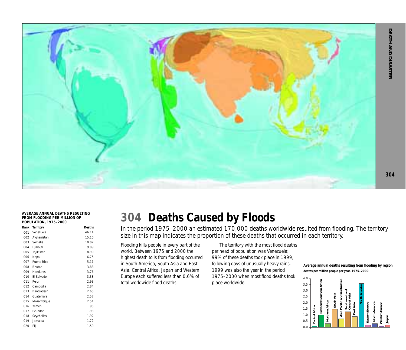

#### **AVERAGE ANNUAL DEATHS RESULTING FROM FLOODING PER MILLION OF POPULATION, 1975–2000**

| Rank | Territory        | Deaths |
|------|------------------|--------|
| 001  | <b>Menezuela</b> | 46.14  |
| 002  | Afghanistan      | 15.10  |
| 003  | Somalia          | 10.02  |
| 004  | Djibouti         | 9.89   |
|      | 005 Taiikistan   | 8.90   |
| 006  | Nepal            | 6.75   |
| 007  | Puerto Rico      | 5.11   |
| 008  | Bhutan           | 3.88   |
| 009  | Honduras         | 3.76   |
| 010  | El Salvador      | 3.38   |
| 011  | Peru             | 2.98   |
| 012  | Cambodia         | 2.84   |
| 013  | Bangladesh       | 2.65   |
| 014  | Guatemala        | 2.57   |
| 015  | Mozambique       | 2.51   |
| 016  | <b>Yemen</b>     | 1.95   |
| 017  | Fouador          | 1.93   |
| 018  | Sevchelles       | 1.92   |
| 019  | Jamaica          | 1.72   |
| 020  | Fm               | 1.59   |

### **304 Deaths Caused by Floods**

In the period 1975–2000 an estimated 170,000 deaths worldwide resulted from flooding. The territory size in this map indicates the proportion of these deaths that occurred in each territory.

Flooding kills people in every part of the world. Between 1975 and 2000 the highest death tolls from flooding occurred in South America, South Asia and East Asia. Central Africa, Japan and Western Europe each suffered less than 0.6% of total worldwide flood deaths.

The territory with the most flood deaths per head of population was Venezuela; 99% of these deaths took place in 1999, following days of unusually heavy rains. 1999 was also the year in the period 1975–2000 when most flood deaths took place worldwide.



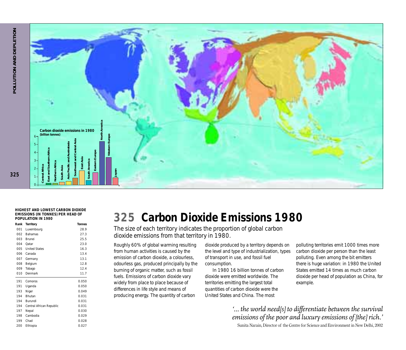

#### **HIGHEST AND LOWEST CARBON DIOXIDE EMISSIONS (IN TONNES) PER HEAD OF POPULATION IN 1980**

| Rank | Territory                | <b>Tonnes</b> |
|------|--------------------------|---------------|
| 001  | Luxembourg               | 28.9          |
| 002  | Bahamas                  | 27.3          |
| 003  | Rrunei                   | 25.5          |
| 004  | Oatar                    | 23.0          |
| 005  | <b>Linited States</b>    | 16.3          |
| 006  | Canada                   | 13.4          |
| 007  | Germany                  | 13.1          |
| 008  | Belgium                  | 12.8          |
| 009  | Tobago                   | 12.4          |
| 010  | Denmark                  | 11.7          |
|      |                          |               |
| 191  | Comoros                  | 0.050         |
| 191  | Uganda                   | 0.050         |
| 193  | Niger                    | 0.049         |
| 194  | Rhutan                   | 0.031         |
| 194  | Burundi                  | 0.031         |
| 194  | Central African Republic | 0.031         |
| 197  | Nepal                    | 0.030         |
| 198  | Cambodia                 | 0.029         |
| 199  | Chad                     | 0.028         |
| 200  | Ethiopia                 | 0.027         |

### **325 Carbon Dioxide Emissions 1980**

The size of each territory indicates the proportion of global carbon dioxide emissions from that territory in 1980.

Roughly 60% of global warming resulting from human activities is caused by the emission of carbon dioxide, a colourless, odourless gas, produced principally by the burning of organic matter, such as fossil fuels. Emissions of carbon dioxide vary widely from place to place because of differences in life style and means of producing energy. The quantity of carbon

dioxide produced by a territory depends on the level and type of industrialization, types of transport in use, and fossil fuel consumption.

In 1980 16 billion tonnes of carbon dioxide were emitted worldwide. The territories emitting the largest total quantities of carbon dioxide were the United States and China. The most

polluting territories emit 1000 times more carbon dioxide per person than the least polluting. Even among the bit emitters there is huge variation: in 1980 the United States emitted 14 times as much carbon dioxide per head of population as China, for example.

*'... the world need[s] to differentiate between the survival emissions of the poor and luxury emissions of [the] rich.'*  Sunita Narain, Director of the Centre for Science and Environment in New Delhi, 2002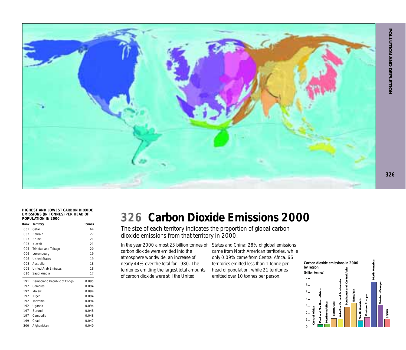

#### **HIGHEST AND LOWEST CARBON DIOXIDE EMISSIONS (IN TONNES) PER HEAD OF POPULATION IN 2000**

| Rank | Territory                    | Tonnes |
|------|------------------------------|--------|
| 001  | <b>Oatar</b>                 | 64     |
| nn2  | <b>Rahrain</b>               | 27     |
| 003  | <b>Rrunei</b>                | 21     |
| 003  | Kuwait                       | 21     |
| 005  | Trinidad and Tobago          | 20     |
| 006  | Luxembourg                   | 19     |
| 006  | <b>Hnited States</b>         | 19     |
| 008  | <b>Australia</b>             | 18     |
| 800  | <b>United Arab Emirates</b>  | 18     |
| 010  | Saudi Arabia                 | 17     |
|      |                              |        |
| 191  | Democratic Republic of Congo | 0.095  |
| 192  | Comoros                      | 0.094  |
| 192  | Malawi                       | 0.094  |
| 192  | Niger                        | 0.094  |
| 192  | Tanzania                     | 0.094  |
| 192  | Uganda                       | 0.094  |
| 197  | <b>Runindi</b>               | 0.048  |
| 197  | Cambodia                     | 0.048  |
| 199  | Chad                         | 0.047  |

### **326 Carbon Dioxide Emissions 2000**

The size of each territory indicates the proportion of global carbon dioxide emissions from that territory in 2000.

carbon dioxide were emitted into the atmosphere worldwide, an increase of nearly 44% over the total for 1980. The territories emitting the largest total amounts of carbon dioxide were still the United

In the year 2000 almost 23 billion tonnes of States and China: 28% of global emissions came from North American territories, while only 0.09% came from Central Africa. 66 territories emitted less than 1 tonne per head of population, while 21 territories emitted over 10 tonnes per person.

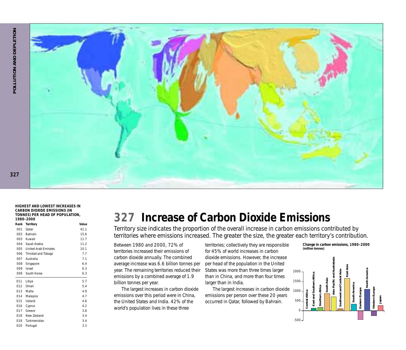

**HIGHEST AND LOWEST INCREASES IN CARBON DIOXIDE EMISSIONS (IN TONNES) PER HEAD OF POPULATION, 1980–2000**

|     | Rank Territory           | Value |
|-----|--------------------------|-------|
| 001 | Oatar                    | 41.1  |
| 002 | Rahrain                  | 15.6  |
|     | 003 Kuwait               | 11.7  |
|     | 004 Saudi Arabia         | 11.2  |
|     | 005 United Arab Emirates | 10.1  |
|     | 006 Trinidad and Tobago  | 7.7   |
|     | 007 Australia            | 7.1   |
| 008 | Singapore                | 6.4   |
| 009 | <b>Brael</b>             | 6.3   |
| 900 | South Korea              | 6.3   |
|     | Libya                    | 5.7   |
| 011 |                          |       |
| 012 | Oman                     | 5.4   |
| 013 | Malta                    | 4.9   |
| 014 | Malaysia                 | 4.7   |
| 015 | Ireland                  | 4.6   |
| 016 | Cyprus                   | 4.2   |
| 017 | Greece                   | 3.8   |
| 018 | New Zealand              | 34    |
| 018 | Turkmenistan             | 3.4   |
| 020 | Portugal                 | 3.3   |

### **327 Increase of Carbon Dioxide Emissions**

Territory size indicates the proportion of the overall increase in carbon emissions contributed by territories where emissions increased. The greater the size, the greater each territory's contribution.

Between 1980 and 2000, 72% of territories increased their emissions of carbon dioxide annually. The combined average increase was 6.6 billion tonnes per year. The remaining territories reduced their emissions by a combined average of 1.9 billion tonnes per year.

The largest increases in carbon dioxide emissions over this period were in China, the United States and India. 42% of the world's population lives in these three

territories; collectively they are responsible for 45% of world increases in carbon dioxide emissions. However, the increase per head of the population in the United States was more than three times larger than in China, and more than four times larger than in India.

The largest increases in carbon dioxide emissions per person over these 20 years occurred in Qatar, followed by Bahrain.